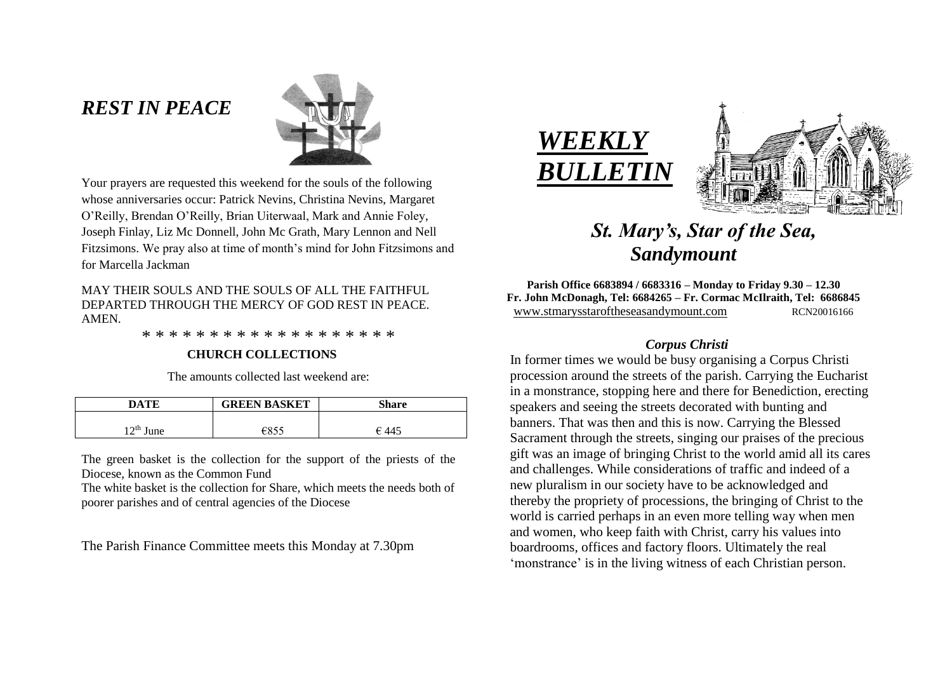# *REST IN PEACE*



Your prayers are requested this weekend for the souls of the following whose anniversaries occur: Patrick Nevins, Christina Nevins, Margaret O'Reilly, Brendan O'Reilly, Brian Uiterwaal, Mark and Annie Foley, Joseph Finlay, Liz Mc Donnell, John Mc Grath, Mary Lennon and Nell Fitzsimons. We pray also at time of month's mind for John Fitzsimons and for Marcella Jackman

### MAY THEIR SOULS AND THE SOULS OF ALL THE FAITHFUL DEPARTED THROUGH THE MERCY OF GOD REST IN PEACE. AMEN.

\* \* \* \* \* \* \* \* \* \* \* \* \* \* \* \* \* \* \*

## **CHURCH COLLECTIONS**

The amounts collected last weekend are:

| DATE        | <b>GREEN BASKET</b> | <b>Share</b> |
|-------------|---------------------|--------------|
|             |                     |              |
| $12th$ June | €855                | € 445        |

The green basket is the collection for the support of the priests of the Diocese, known as the Common Fund

The white basket is the collection for Share, which meets the needs both of poorer parishes and of central agencies of the Diocese

The Parish Finance Committee meets this Monday at 7.30pm





# *St. Mary's, Star of the Sea, Sandymount*

**Parish Office 6683894 / 6683316 – Monday to Friday 9.30 – 12.30 Fr. John McDonagh, Tel: 6684265 – Fr. Cormac McIlraith, Tel: 6686845** www.stmarysstaroftheseasandymount.com RCN20016166

# *Corpus Christi*

 In former times we would be busy organising a Corpus Christi procession around the streets of the parish. Carrying the Eucharist in a monstrance, stopping here and there for Benediction, erecting speakers and seeing the streets decorated with bunting and banners. That was then and this is now. Carrying the Blessed Sacrament through the streets, singing our praises of the precious gift was an image of bringing Christ to the world amid all its cares and challenges. While considerations of traffic and indeed of a new pluralism in our society have to be acknowledged and thereby the propriety of processions, the bringing of Christ to the world is carried perhaps in an even more telling way when men and women, who keep faith with Christ, carry his values into boardrooms, offices and factory floors. Ultimately the real 'monstrance' is in the living witness of each Christian person.